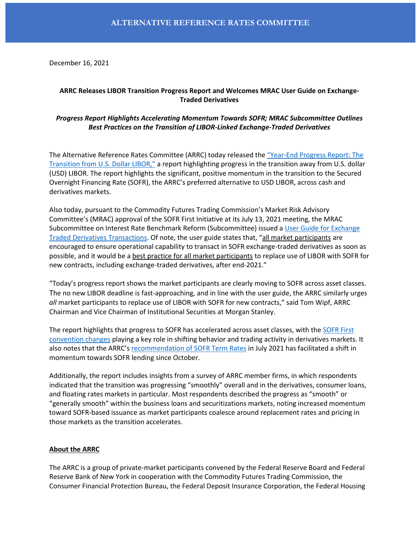December 16, 2021

# **ARRC Releases LIBOR Transition Progress Report and Welcomes MRAC User Guide on Exchange-Traded Derivatives**

## *Progress Report Highlights Accelerating Momentum Towards SOFR; MRAC Subcommittee Outlines Best Practices on the Transition of LIBOR-Linked Exchange-Traded Derivatives*

The Alternative Reference Rates Committee (ARRC) today released the "[Year-End Progress Report: The](https://newyorkfed.org/medialibrary/Microsites/arrc/files/2021/20211216-usd-libor-year-end-transition-progress-report)  [Transition from U.S. Dollar LIBOR,](https://newyorkfed.org/medialibrary/Microsites/arrc/files/2021/20211216-usd-libor-year-end-transition-progress-report)" a report highlighting progress in the transition away from U.S. dollar (USD) LIBOR. The report highlights the significant, positive momentum in the transition to the Secured Overnight Financing Rate (SOFR), the ARRC's preferred alternative to USD LIBOR, across cash and derivatives markets.

Also today, pursuant to the Commodity Futures Trading Commission's Market Risk Advisory Committee's (MRAC) approval of the SOFR First Initiative at its July 13, 2021 meeting, the MRAC Subcommittee on Interest Rate Benchmark Reform (Subcommittee) issued a [User Guide for Exchange](https://www.cftc.gov/media/6816/SOFRFIRSTUSERGUIDE/download)  [Traded Derivatives Transactions.](https://www.cftc.gov/media/6816/SOFRFIRSTUSERGUIDE/download) Of note, the user guide states that, "all market participants are encouraged to ensure operational capability to transact in SOFR exchange-traded derivatives as soon as possible, and it would be a best practice for all market participants to replace use of LIBOR with SOFR for new contracts, including exchange-traded derivatives, after end-2021."

"Today's progress report shows the market participants are clearly moving to SOFR across asset classes. The no new LIBOR deadline is fast-approaching, and in line with the user guide, the ARRC similarly urges *all* market participants to replace use of LIBOR with SOFR for new contracts," said Tom Wipf, ARRC Chairman and Vice Chairman of Institutional Securities at Morgan Stanley.

The report highlights that progress to SOFR has accelerated across asset classes, with the SOFR First [convention changes](https://www.cftc.gov/media/6176/MRAC_SOFRFirstSubcommitteeRecommendation071321/download) playing a key role in shifting behavior and trading activity in derivatives markets. It also notes that the ARRC's [recommendation of SOFR Term Rates](https://www.newyorkfed.org/medialibrary/Microsites/arrc/files/2021/ARRC_Press_Release_Term_SOFR.pdf) in July 2021 has facilitated a shift in momentum towards SOFR lending since October.

Additionally, the report includes insights from a survey of ARRC member firms, in which respondents indicated that the transition was progressing "smoothly" overall and in the derivatives, consumer loans, and floating rates markets in particular. Most respondents described the progress as "smooth" or "generally smooth" within the business loans and securitizations markets, noting increased momentum toward SOFR-based issuance as market participants coalesce around replacement rates and pricing in those markets as the transition accelerates.

### **About the ARRC**

The ARRC is a group of private-market participants convened by the Federal Reserve Board and Federal Reserve Bank of New York in cooperation with the Commodity Futures Trading Commission, the Consumer Financial Protection Bureau, the Federal Deposit Insurance Corporation, the Federal Housing